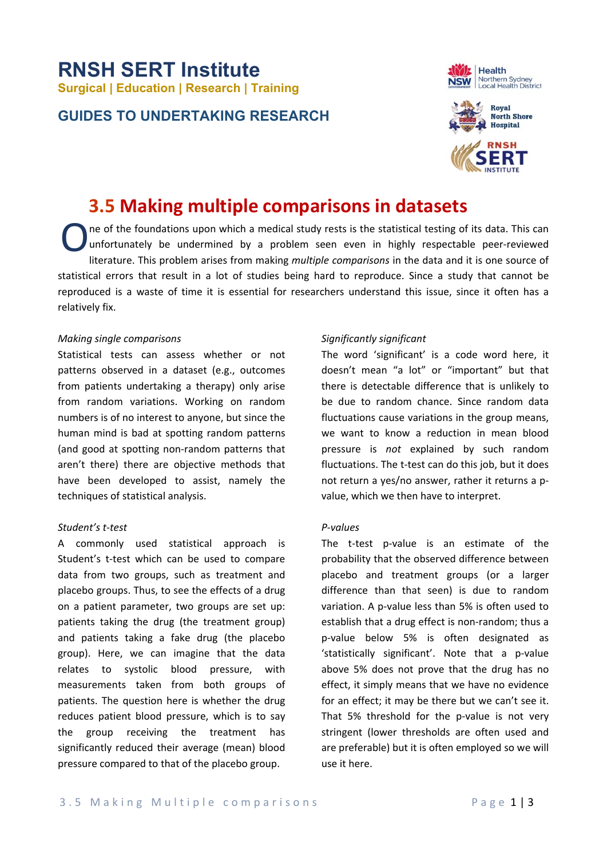# **RNSH SERT Institute Surgical | Education | Research | Training**

### **GUIDES TO UNDERTAKING RESEARCH**





## **3.5 Making multiple comparisons in datasets**

ne of the foundations upon which a medical study rests is the statistical testing of its data. This can unfortunately be undermined by a problem seen even in highly respectable peer-reviewed literature. This problem arises from making *multiple comparisons* in the data and it is one source of statistical errors that result in a lot of studies being hard to reproduce. Since a study that cannot be reproduced is a waste of time it is essential for researchers understand this issue, since it often has a relatively fix. O

#### *Making single comparisons*

Statistical tests can assess whether or not patterns observed in a dataset (e.g., outcomes from patients undertaking a therapy) only arise from random variations. Working on random numbers is of no interest to anyone, but since the human mind is bad at spotting random patterns (and good at spotting non‐random patterns that aren't there) there are objective methods that have been developed to assist, namely the techniques of statistical analysis.

#### *Student's t‐test*

A commonly used statistical approach is Student's t-test which can be used to compare data from two groups, such as treatment and placebo groups. Thus, to see the effects of a drug on a patient parameter, two groups are set up: patients taking the drug (the treatment group) and patients taking a fake drug (the placebo group). Here, we can imagine that the data relates to systolic blood pressure, with measurements taken from both groups of patients. The question here is whether the drug reduces patient blood pressure, which is to say the group receiving the treatment has significantly reduced their average (mean) blood pressure compared to that of the placebo group.

#### *Significantly significant*

The word 'significant' is a code word here, it doesn't mean "a lot" or "important" but that there is detectable difference that is unlikely to be due to random chance. Since random data fluctuations cause variations in the group means, we want to know a reduction in mean blood pressure is *not* explained by such random fluctuations. The t‐test can do this job, but it does not return a yes/no answer, rather it returns a p‐ value, which we then have to interpret.

#### *P‐values*

The t-test p-value is an estimate of the probability that the observed difference between placebo and treatment groups (or a larger difference than that seen) is due to random variation. A p-value less than 5% is often used to establish that a drug effect is non‐random; thus a p‐value below 5% is often designated as 'statistically significant'. Note that a p‐value above 5% does not prove that the drug has no effect, it simply means that we have no evidence for an effect; it may be there but we can't see it. That 5% threshold for the p-value is not very stringent (lower thresholds are often used and are preferable) but it is often employed so we will use it here.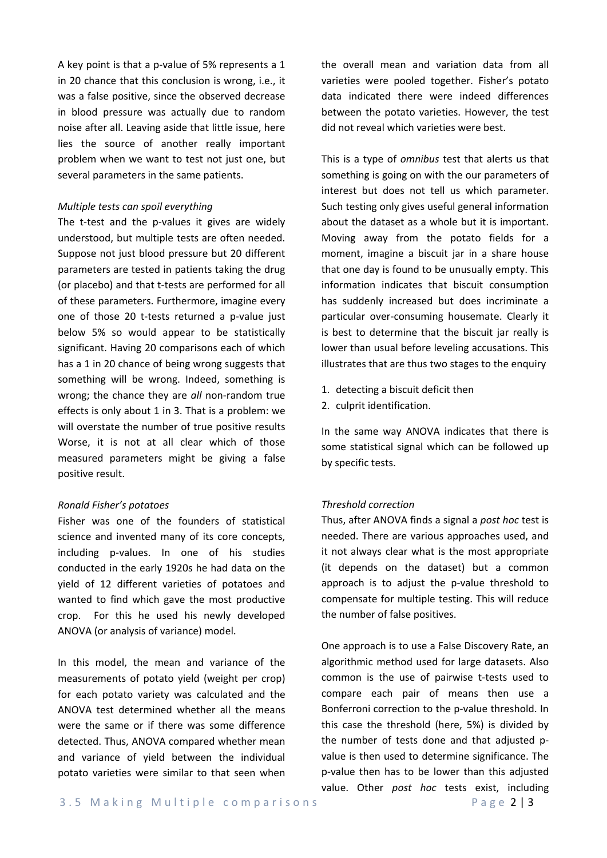A key point is that a p‐value of 5% represents a 1 in 20 chance that this conclusion is wrong, i.e., it was a false positive, since the observed decrease in blood pressure was actually due to random noise after all. Leaving aside that little issue, here lies the source of another really important problem when we want to test not just one, but several parameters in the same patients.

#### *Multiple tests can spoil everything*

The t-test and the p-values it gives are widely understood, but multiple tests are often needed. Suppose not just blood pressure but 20 different parameters are tested in patients taking the drug (or placebo) and that t‐tests are performed for all of these parameters. Furthermore, imagine every one of those 20 t-tests returned a p-value just below 5% so would appear to be statistically significant. Having 20 comparisons each of which has a 1 in 20 chance of being wrong suggests that something will be wrong. Indeed, something is wrong; the chance they are *all* non-random true effects is only about 1 in 3. That is a problem: we will overstate the number of true positive results Worse, it is not at all clear which of those measured parameters might be giving a false positive result.

#### *Ronald Fisher's potatoes*

Fisher was one of the founders of statistical science and invented many of its core concepts. including p‐values. In one of his studies conducted in the early 1920s he had data on the yield of 12 different varieties of potatoes and wanted to find which gave the most productive crop. For this he used his newly developed ANOVA (or analysis of variance) model.

In this model, the mean and variance of the measurements of potato yield (weight per crop) for each potato variety was calculated and the ANOVA test determined whether all the means were the same or if there was some difference detected. Thus, ANOVA compared whether mean and variance of yield between the individual potato varieties were similar to that seen when

the overall mean and variation data from all varieties were pooled together. Fisher's potato data indicated there were indeed differences between the potato varieties. However, the test did not reveal which varieties were best.

This is a type of *omnibus* test that alerts us that something is going on with the our parameters of interest but does not tell us which parameter. Such testing only gives useful general information about the dataset as a whole but it is important. Moving away from the potato fields for a moment, imagine a biscuit jar in a share house that one day is found to be unusually empty. This information indicates that biscuit consumption has suddenly increased but does incriminate a particular over‐consuming housemate. Clearly it is best to determine that the biscuit jar really is lower than usual before leveling accusations. This illustrates that are thus two stages to the enquiry

- 1. detecting a biscuit deficit then
- 2. culprit identification.

In the same way ANOVA indicates that there is some statistical signal which can be followed up by specific tests.

#### *Threshold correction*

Thus, after ANOVA finds a signal a *post hoc* test is needed. There are various approaches used, and it not always clear what is the most appropriate (it depends on the dataset) but a common approach is to adjust the p-value threshold to compensate for multiple testing. This will reduce the number of false positives.

One approach is to use a False Discovery Rate, an algorithmic method used for large datasets. Also common is the use of pairwise t‐tests used to compare each pair of means then use a Bonferroni correction to the p‐value threshold. In this case the threshold (here, 5%) is divided by the number of tests done and that adjusted p‐ value is then used to determine significance. The p‐value then has to be lower than this adjusted value. Other *post hoc*  tests exist, including